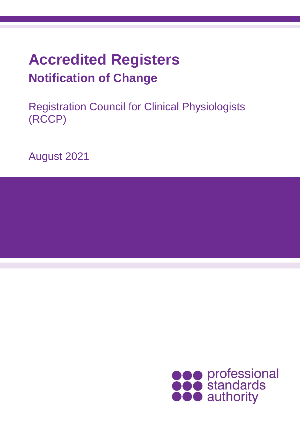# **Accredited Registers Notification of Change**

Registration Council for Clinical Physiologists (RCCP)

August 2021

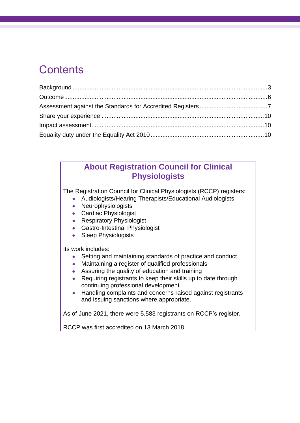### **Contents**

### **About Registration Council for Clinical Physiologists**

The Registration Council for Clinical Physiologists (RCCP) registers:

- Audiologists/Hearing Therapists/Educational Audiologists
- Neurophysiologists
- Cardiac Physiologist
- Respiratory Physiologist
- Gastro-Intestinal Physiologist
- Sleep Physiologists

Its work includes:

- Setting and maintaining standards of practice and conduct
- Maintaining a register of qualified professionals
- Assuring the quality of education and training
- Requiring registrants to keep their skills up to date through continuing professional development
- Handling complaints and concerns raised against registrants and issuing sanctions where appropriate.

As of June 2021, there were 5,583 registrants on RCCP's register.

RCCP was first accredited on 13 March 2018.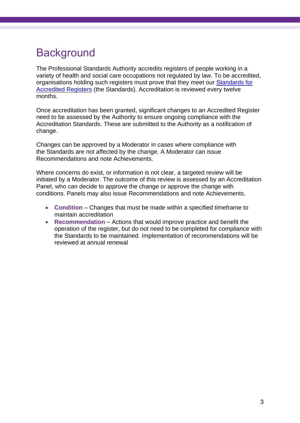### <span id="page-2-0"></span>**Background**

The Professional Standards Authority accredits registers of people working in a variety of health and social care occupations not regulated by law. To be accredited, organisations holding such registers must prove that they meet our [Standards for](https://www.professionalstandards.org.uk/accredited-registers/about-accredited-registers/our-standards)  [Accredited Registers](https://www.professionalstandards.org.uk/accredited-registers/about-accredited-registers/our-standards) (the Standards). Accreditation is reviewed every twelve months.

Once accreditation has been granted, significant changes to an Accredited Register need to be assessed by the Authority to ensure ongoing compliance with the Accreditation Standards. These are submitted to the Authority as a notification of change.

Changes can be approved by a Moderator in cases where compliance with the Standards are not affected by the change. A Moderator can issue Recommendations and note Achievements.

Where concerns do exist, or information is not clear, a targeted review will be initiated by a Moderator. The outcome of this review is assessed by an Accreditation Panel, who can decide to approve the change or approve the change with conditions. Panels may also issue Recommendations and note Achievements.

- **Condition** Changes that must be made within a specified timeframe to maintain accreditation
- **Recommendation** Actions that would improve practice and benefit the operation of the register, but do not need to be completed for compliance with the Standards to be maintained. Implementation of recommendations will be reviewed at annual renewal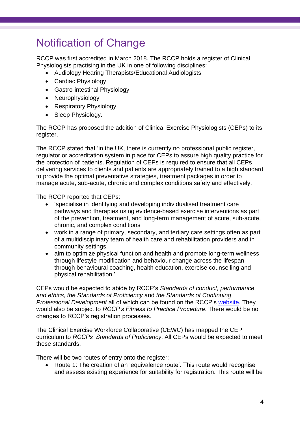### Notification of Change

RCCP was first accredited in March 2018. The RCCP holds a register of Clinical Physiologists practising in the UK in one of following disciplines:

- Audiology Hearing Therapists/Educational Audiologists
- Cardiac Physiology
- Gastro-intestinal Physiology
- Neurophysiology
- Respiratory Physiology
- Sleep Physiology.

The RCCP has proposed the addition of Clinical Exercise Physiologists (CEPs) to its register.

The RCCP stated that 'in the UK, there is currently no professional public register, regulator or accreditation system in place for CEPs to assure high quality practice for the protection of patients. Regulation of CEPs is required to ensure that all CEPs delivering services to clients and patients are appropriately trained to a high standard to provide the optimal preventative strategies, treatment packages in order to manage acute, sub-acute, chronic and complex conditions safety and effectively.

The RCCP reported that CEPs:

- 'specialise in identifying and developing individualised treatment care pathways and therapies using evidence-based exercise interventions as part of the prevention, treatment, and long-term management of acute, sub-acute, chronic, and complex conditions
- work in a range of primary, secondary, and tertiary care settings often as part of a multidisciplinary team of health care and rehabilitation providers and in community settings.
- aim to optimize physical function and health and promote long-term wellness through lifestyle modification and behaviour change across the lifespan through behavioural coaching, health education, exercise counselling and physical rehabilitation.'

CEPs would be expected to abide by RCCP's *Standards of conduct, performance and ethics, the Standards of Proficiency* and *the Standards of Continuing Professional Development* all of which can be found on the RCCP's [website.](https://rccp.co.uk/registrants/maintaining-your-registration/) They would also be subject to *RCCP's Fitness to Practice Procedure*. There would be no changes to RCCP's registration processes.

The Clinical Exercise Workforce Collaborative (CEWC) has mapped the CEP curriculum to *RCCPs' Standards of Proficiency*. All CEPs would be expected to meet these standards.

There will be two routes of entry onto the register:

• Route 1: The creation of an 'equivalence route'. This route would recognise and assess existing experience for suitability for registration. This route will be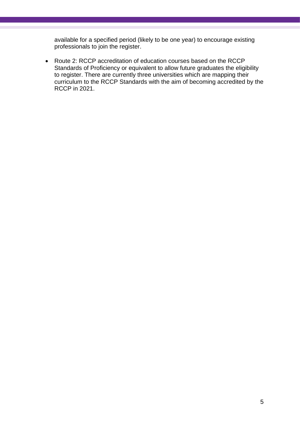available for a specified period (likely to be one year) to encourage existing professionals to join the register.

• Route 2: RCCP accreditation of education courses based on the RCCP Standards of Proficiency or equivalent to allow future graduates the eligibility to register. There are currently three universities which are mapping their curriculum to the RCCP Standards with the aim of becoming accredited by the RCCP in 2021.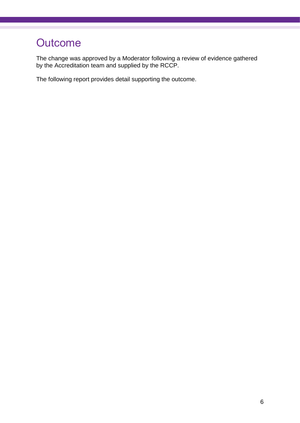## <span id="page-5-0"></span>**Outcome**

The change was approved by a Moderator following a review of evidence gathered by the Accreditation team and supplied by the RCCP.

The following report provides detail supporting the outcome.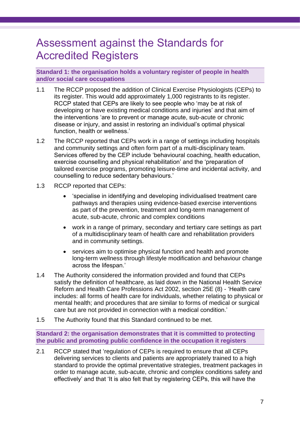### <span id="page-6-0"></span>Assessment against the Standards for Accredited Registers

**Standard 1: the organisation holds a voluntary register of people in health and/or social care occupations**

- 1.1 The RCCP proposed the addition of Clinical Exercise Physiologists (CEPs) to its register. This would add approximately 1,000 registrants to its register. RCCP stated that CEPs are likely to see people who 'may be at risk of developing or have existing medical conditions and injuries' and that aim of the interventions 'are to prevent or manage acute, sub-acute or chronic disease or injury, and assist in restoring an individual's optimal physical function, health or wellness.'
- 1.2 The RCCP reported that CEPs work in a range of settings including hospitals and community settings and often form part of a multi-disciplinary team. Services offered by the CEP include 'behavioural coaching, health education, exercise counselling and physical rehabilitation' and the 'preparation of tailored exercise programs, promoting leisure-time and incidental activity, and counselling to reduce sedentary behaviours.'
- 1.3 RCCP reported that CEPs:
	- 'specialise in identifying and developing individualised treatment care pathways and therapies using evidence-based exercise interventions as part of the prevention, treatment and long-term management of acute, sub-acute, chronic and complex conditions
	- work in a range of primary, secondary and tertiary care settings as part of a multidisciplinary team of health care and rehabilitation providers and in community settings.
	- services aim to optimise physical function and health and promote long-term wellness through lifestyle modification and behaviour change across the lifespan.'
- 1.4 The Authority considered the information provided and found that CEPs satisfy the definition of healthcare, as laid down in the National Health Service Reform and Health Care Professions Act 2002, section 25E (8) - 'Health care' includes: all forms of health care for individuals, whether relating to physical or mental health; and procedures that are similar to forms of medical or surgical care but are not provided in connection with a medical condition.'
- 1.5 The Authority found that this Standard continued to be met.

**Standard 2: the organisation demonstrates that it is committed to protecting the public and promoting public confidence in the occupation it registers**

2.1 RCCP stated that 'regulation of CEPs is required to ensure that all CEPs delivering services to clients and patients are appropriately trained to a high standard to provide the optimal preventative strategies, treatment packages in order to manage acute, sub-acute, chronic and complex conditions safety and effectively' and that 'It is also felt that by registering CEPs, this will have the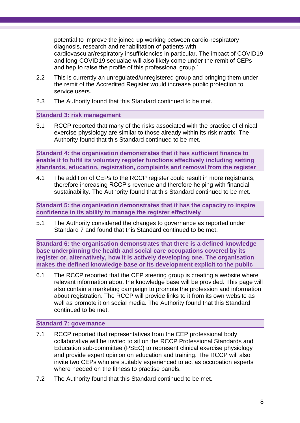potential to improve the joined up working between cardio-respiratory diagnosis, research and rehabilitation of patients with cardiovascular/respiratory insufficiencies in particular. The impact of COVID19 and long-COVID19 sequalae will also likely come under the remit of CEPs and hep to raise the profile of this professional group.'

- 2.2 This is currently an unregulated/unregistered group and bringing them under the remit of the Accredited Register would increase public protection to service users.
- 2.3 The Authority found that this Standard continued to be met.

#### **Standard 3: risk management**

3.1 RCCP reported that many of the risks associated with the practice of clinical exercise physiology are similar to those already within its risk matrix. The Authority found that this Standard continued to be met.

**Standard 4: the organisation demonstrates that it has sufficient finance to enable it to fulfil its voluntary register functions effectively including setting standards, education, registration, complaints and removal from the register**

4.1 The addition of CEPs to the RCCP register could result in more registrants, therefore increasing RCCP's revenue and therefore helping with financial sustainability. The Authority found that this Standard continued to be met.

**Standard 5: the organisation demonstrates that it has the capacity to inspire confidence in its ability to manage the register effectively**

5.1 The Authority considered the changes to governance as reported under Standard 7 and found that this Standard continued to be met.

**Standard 6: the organisation demonstrates that there is a defined knowledge base underpinning the health and social care occupations covered by its register or, alternatively, how it is actively developing one. The organisation makes the defined knowledge base or its development explicit to the public**

6.1 The RCCP reported that the CEP steering group is creating a website where relevant information about the knowledge base will be provided. This page will also contain a marketing campaign to promote the profession and information about registration. The RCCP will provide links to it from its own website as well as promote it on social media. The Authority found that this Standard continued to be met.

#### **Standard 7: governance**

- 7.1 RCCP reported that representatives from the CEP professional body collaborative will be invited to sit on the RCCP Professional Standards and Education sub-committee (PSEC) to represent clinical exercise physiology and provide expert opinion on education and training. The RCCP will also invite two CEPs who are suitably experienced to act as occupation experts where needed on the fitness to practise panels.
- 7.2 The Authority found that this Standard continued to be met.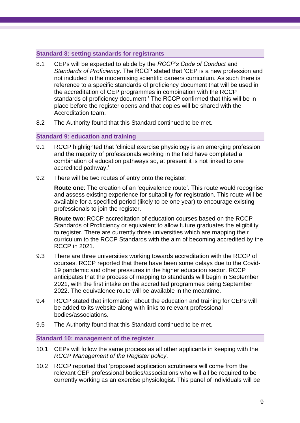#### **Standard 8: setting standards for registrants**

- 8.1 CEPs will be expected to abide by the *RCCP's Code of Conduct* and *Standards of Proficiency*. The RCCP stated that 'CEP is a new profession and not included in the modernising scientific careers curriculum. As such there is reference to a specific standards of proficiency document that will be used in the accreditation of CEP programmes in combination with the RCCP standards of proficiency document.' The RCCP confirmed that this will be in place before the register opens and that copies will be shared with the Accreditation team.
- 8.2 The Authority found that this Standard continued to be met.

#### **Standard 9: education and training**

- 9.1 RCCP highlighted that 'clinical exercise physiology is an emerging profession and the majority of professionals working in the field have completed a combination of education pathways so, at present it is not linked to one accredited pathway.'
- 9.2 There will be two routes of entry onto the register:

**Route one**: The creation of an 'equivalence route'. This route would recognise and assess existing experience for suitability for registration. This route will be available for a specified period (likely to be one year) to encourage existing professionals to join the register.

**Route two**: RCCP accreditation of education courses based on the RCCP Standards of Proficiency or equivalent to allow future graduates the eligibility to register. There are currently three universities which are mapping their curriculum to the RCCP Standards with the aim of becoming accredited by the RCCP in 2021.

- 9.3 There are three universities working towards accreditation with the RCCP of courses. RCCP reported that there have been some delays due to the Covid-19 pandemic and other pressures in the higher education sector. RCCP anticipates that the process of mapping to standards will begin in September 2021, with the first intake on the accredited programmes being September 2022. The equivalence route will be available in the meantime.
- 9.4 RCCP stated that information about the education and training for CEPs will be added to its website along with links to relevant professional bodies/associations.
- 9.5 The Authority found that this Standard continued to be met.

**Standard 10: management of the register** 

- 10.1 CEPs will follow the same process as all other applicants in keeping with the *RCCP Management of the Register policy*.
- 10.2 RCCP reported that 'proposed application scrutineers will come from the relevant CEP professional bodies/associations who will all be required to be currently working as an exercise physiologist. This panel of individuals will be